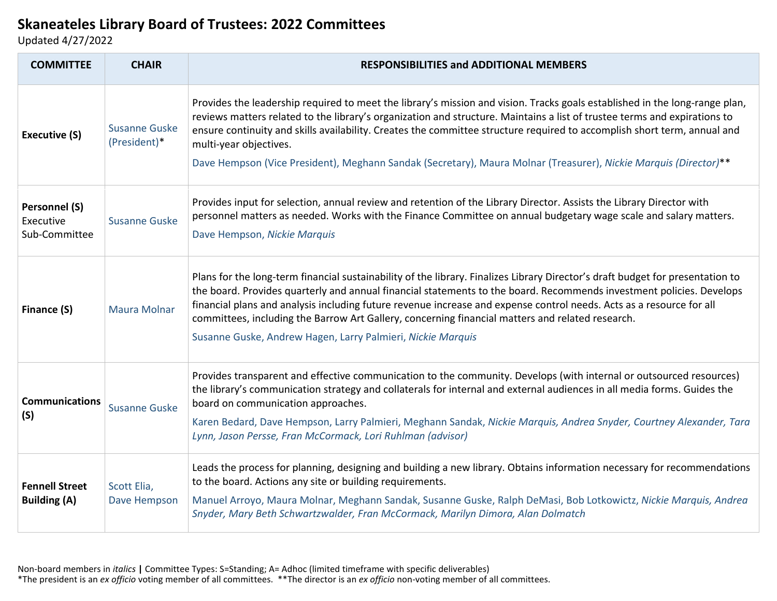## **Skaneateles Library Board of Trustees: 2022 Committees**

Updated 4/27/2022

| <b>COMMITTEE</b>                                   | <b>CHAIR</b>                         | <b>RESPONSIBILITIES and ADDITIONAL MEMBERS</b>                                                                                                                                                                                                                                                                                                                                                                                                                                                                                                    |
|----------------------------------------------------|--------------------------------------|---------------------------------------------------------------------------------------------------------------------------------------------------------------------------------------------------------------------------------------------------------------------------------------------------------------------------------------------------------------------------------------------------------------------------------------------------------------------------------------------------------------------------------------------------|
| <b>Executive (S)</b>                               | <b>Susanne Guske</b><br>(President)* | Provides the leadership required to meet the library's mission and vision. Tracks goals established in the long-range plan,<br>reviews matters related to the library's organization and structure. Maintains a list of trustee terms and expirations to<br>ensure continuity and skills availability. Creates the committee structure required to accomplish short term, annual and<br>multi-year objectives.<br>Dave Hempson (Vice President), Meghann Sandak (Secretary), Maura Molnar (Treasurer), Nickie Marquis (Director)**                |
| <b>Personnel (S)</b><br>Executive<br>Sub-Committee | <b>Susanne Guske</b>                 | Provides input for selection, annual review and retention of the Library Director. Assists the Library Director with<br>personnel matters as needed. Works with the Finance Committee on annual budgetary wage scale and salary matters.<br>Dave Hempson, Nickie Marquis                                                                                                                                                                                                                                                                          |
| Finance (S)                                        | <b>Maura Molnar</b>                  | Plans for the long-term financial sustainability of the library. Finalizes Library Director's draft budget for presentation to<br>the board. Provides quarterly and annual financial statements to the board. Recommends investment policies. Develops<br>financial plans and analysis including future revenue increase and expense control needs. Acts as a resource for all<br>committees, including the Barrow Art Gallery, concerning financial matters and related research.<br>Susanne Guske, Andrew Hagen, Larry Palmieri, Nickie Marquis |
| <b>Communications</b><br>(S)                       | <b>Susanne Guske</b>                 | Provides transparent and effective communication to the community. Develops (with internal or outsourced resources)<br>the library's communication strategy and collaterals for internal and external audiences in all media forms. Guides the<br>board on communication approaches.<br>Karen Bedard, Dave Hempson, Larry Palmieri, Meghann Sandak, Nickie Marquis, Andrea Snyder, Courtney Alexander, Tara<br>Lynn, Jason Persse, Fran McCormack, Lori Ruhlman (advisor)                                                                         |
| <b>Fennell Street</b><br><b>Building (A)</b>       | Scott Elia,<br>Dave Hempson          | Leads the process for planning, designing and building a new library. Obtains information necessary for recommendations<br>to the board. Actions any site or building requirements.<br>Manuel Arroyo, Maura Molnar, Meghann Sandak, Susanne Guske, Ralph DeMasi, Bob Lotkowictz, Nickie Marquis, Andrea<br>Snyder, Mary Beth Schwartzwalder, Fran McCormack, Marilyn Dimora, Alan Dolmatch                                                                                                                                                        |